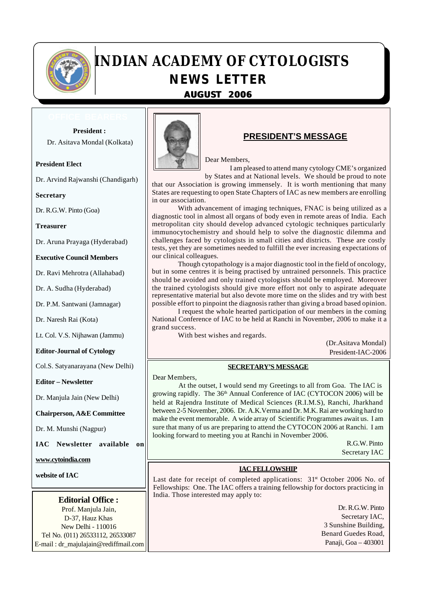

# **INDIAN ACADEMY OF CYTOLOGISTS NEWS LETTER**

# **AUGUST 2006**

**President :**

Dr. Asitava Mondal (Kolkata)

**President Elect**

Dr. Arvind Rajwanshi (Chandigarh)

**Secretary**

Dr. R.G.W. Pinto (Goa)

**Treasurer**

Dr. Aruna Prayaga (Hyderabad)

**Executive Council Members**

Dr. Ravi Mehrotra (Allahabad)

Dr. A. Sudha (Hyderabad)

Dr. P.M. Santwani (Jamnagar)

Dr. Naresh Rai (Kota)

Lt. Col. V.S. Nijhawan (Jammu)

**Editor-Journal of Cytology**

Col.S. Satyanarayana (New Delhi)

**Editor – Newsletter**

Dr. Manjula Jain (New Delhi)

**Chairperson, A&E Committee**

Dr. M. Munshi (Nagpur)

**IAC Newsletter available on**

**www.cytoindia.com**

**website of IAC**

## **Editorial Office :**

Prof. Manjula Jain, D-37, Hauz Khas New Delhi - 110016 Tel No. (011) 26533112, 26533087 E-mail : dr\_majulajain@rediffmail.com



## **PRESIDENT'S MESSAGE**

Dear Members,

I am pleased to attend many cytology CME's organized by States and at National levels. We should be proud to note

that our Association is growing immensely. It is worth mentioning that many States are requesting to open State Chapters of IAC as new members are enrolling in our association.

With advancement of imaging techniques, FNAC is being utilized as a diagnostic tool in almost all organs of body even in remote areas of India. Each metropolitan city should develop advanced cytologic techniques particularly immunocytochemistry and should help to solve the diagnostic dilemma and challenges faced by cytologists in small cities and districts. These are costly tests, yet they are sometimes needed to fulfill the ever increasing expectations of our clinical colleagues.

Though cytopathology is a major diagnostic tool in the field of oncology, but in some centres it is being practised by untrained personnels. This practice should be avoided and only trained cytologists should be employed. Moreover the trained cytologists should give more effort not only to aspirate adequate representative material but also devote more time on the slides and try with best possible effort to pinpoint the diagnosis rather than giving a broad based opinion.

I request the whole hearted participation of our members in the coming National Conference of IAC to be held at Ranchi in November, 2006 to make it a grand success.

With best wishes and regards.

(Dr.Asitava Mondal) President-IAC-2006

### **SECRETARY'S MESSAGE**

Dear Members,

At the outset, I would send my Greetings to all from Goa. The IAC is growing rapidly. The 36<sup>th</sup> Annual Conference of IAC (CYTOCON 2006) will be held at Rajendra Institute of Medical Sciences (R.I.M.S), Ranchi, Jharkhand between 2-5 November, 2006. Dr. A.K.Verma and Dr. M.K. Rai are working hard to make the event memorable. A wide array of Scientific Programmes await us. I am sure that many of us are preparing to attend the CYTOCON 2006 at Ranchi. I am looking forward to meeting you at Ranchi in November 2006.

> R.G.W. Pinto Secretary IAC

## **IAC FELLOWSHIP**

Last date for receipt of completed applications:  $31<sup>st</sup>$  October 2006 No. of Fellowships: One. The IAC offers a training fellowship for doctors practicing in India. Those interested may apply to:

> Dr. R.G.W. Pinto Secretary IAC, 3 Sunshine Building, Benard Guedes Road, Panaji, Goa – 403001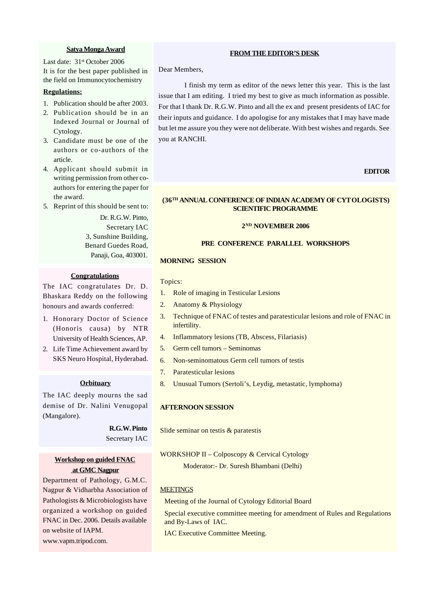#### **Satya Monga Award**

Last date: 31<sup>st</sup> October 2006 It is for the best paper published in the field on Immunocytochemistry

## **Regulations:**

- 1. Publication should be after 2003.
- 2. Publication should be in an Indexed Journal or Journal of Cytology.
- 3. Candidate must be one of the authors or co-authors of the article.
- 4. Applicant should submit in writing permission from other coauthors for entering the paper for the award.
- 5. Reprint of this should be sent to:

Dr. R.G.W. Pinto, Secretary IAC 3, Sunshine Building, Benard Guedes Road, Panaji, Goa, 403001.

#### **Congratulations**

The IAC congratulates Dr. D. Bhaskara Reddy on the following honours and awards conferred:

- 1. Honorary Doctor of Science (Honoris causa) by NTR University of Health Sciences, AP.
- 2. Life Time Achievement award by SKS Neuro Hospital, Hyderabad.

#### **Orbituary**

The IAC deeply mourns the sad demise of Dr. Nalini Venugopal (Mangalore).

#### **R.G.W. Pinto** Secretary IAC

## **Workshop on guided FNAC at GMC Nagpur**

Department of Pathology, G.M.C. Nagpur & Vidharbha Association of Pathologists & Microbiologists have organized a workshop on guided FNAC in Dec. 2006. Details available on website of IAPM. www.vapm.tripod.com.

#### **FROM THE EDITOR'S DESK**

Dear Members,

I finish my term as editor of the news letter this year. This is the last issue that I am editing. I tried my best to give as much information as possible. For that I thank Dr. R.G.W. Pinto and all the ex and present presidents of IAC for their inputs and guidance. I do apologise for any mistakes that I may have made but let me assure you they were not deliberate. With best wishes and regards. See you at RANCHI.

#### **EDITOR**

#### **(36TH ANNUAL CONFERENCE OF INDIAN ACADEMY OF CYTOLOGISTS) SCIENTIFIC PROGRAMME**

#### **2 ND NOVEMBER 2006**

#### **PRE CONFERENCE PARALLEL WORKSHOPS**

#### **MORNING SESSION**

Topics:

- 1. Role of imaging in Testicular Lesions
- 2. Anatomy & Physiology
- 3. Technique of FNAC of testes and paratesticular lesions and role of FNAC in infertility.
- 4. Inflammatory lesions (TB, Abscess, Filariasis)
- 5. Germ cell tumors Seminomas
- 6. Non-seminomatous Germ cell tumors of testis
- 7. Paratesticular lesions
- 8. Unusual Tumors (Sertoli's, Leydig, metastatic, lymphoma)

## **AFTERNOON SESSION**

Slide seminar on testis & paratestis

WORKSHOP II – Colposcopy & Cervical Cytology

Moderator:- Dr. Suresh Bhambani (Delhi)

#### **MEETINGS**

Meeting of the Journal of Cytology Editorial Board

Special executive committee meeting for amendment of Rules and Regulations and By-Laws of IAC.

IAC Executive Committee Meeting.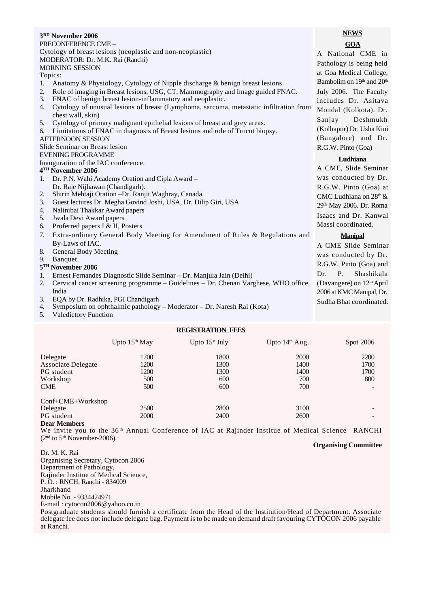| 3RD November 2006                                                                                  | <b>NEWS</b>                           |
|----------------------------------------------------------------------------------------------------|---------------------------------------|
| PRECONFERENCE CME-                                                                                 | <b>GOA</b>                            |
| Cytology of breast lesions (neoplastic and non-neoplastic)                                         | A National CME in                     |
| MODERATOR: Dr. M.K. Rai (Ranchi)                                                                   | Pathology is being held               |
| <b>MORNING SESSION</b>                                                                             | at Goa Medical College,               |
| Topics:                                                                                            |                                       |
| Anatomy & Physiology, Cytology of Nipple discharge & benign breast lesions.<br>1.                  | Bambolim on 19th and 20th             |
| Role of imaging in Breast lesions, USG, CT, Mammography and Image guided FNAC.<br>$\overline{2}$ . | July 2006. The Faculty                |
| FNAC of benign breast lesion-inflammatory and neoplastic.<br>3.                                    | includes Dr. Asitava                  |
| Cytology of unusual lesions of breast (Lymphoma, sarcoma, metastatic infiltration from<br>4.       | Mondal (Kolkota). Dr.                 |
| chest wall, skin)                                                                                  | Deshmukh<br>Sanjay                    |
| Cytology of primary malignant epithelial lesions of breast and grey areas.<br>5.                   | (Kolhapur) Dr. Usha Kini              |
| Limitations of FNAC in diagnosis of Breast lesions and role of Trucut biopsy.<br>6.                | (Bangalore) and Dr.                   |
| <b>AFTERNOON SESSION</b><br>Slide Seminar on Breast lesion                                         |                                       |
|                                                                                                    | R.G.W. Pinto (Goa)                    |
| <b>EVENING PROGRAMME</b>                                                                           | Ludhiana                              |
| Inauguration of the IAC conference.<br>4TH November 2006                                           | A CME, Slide Seminar                  |
| Dr. P.N. Wahi Academy Oration and Cipla Award -<br>1.                                              | was conducted by Dr.                  |
| Dr. Raje Nijhawan (Chandigarh).                                                                    | R.G.W. Pinto (Goa) at                 |
| Shirin Mehtaji Oration - Dr. Ranjit Waghray, Canada.<br>2.                                         |                                       |
| Guest lectures Dr. Megha Govind Joshi, USA, Dr. Dilip Giri, USA<br>3.                              | CMC Ludhiana on $28th \&$             |
| Nalinibai Thakkar Award papers<br>4.                                                               | 29th May 2006. Dr. Roma               |
| Jwala Devi Award papers<br>5.                                                                      | Isaacs and Dr. Kanwal                 |
| Proferred papers I & II, Posters<br>6.                                                             | Massi coordinated.                    |
| Extra-ordinary General Body Meeting for Amendment of Rules & Regulations and<br>7.                 | <b>Manipal</b>                        |
| By-Laws of IAC.                                                                                    | A CME Slide Seminar                   |
| <b>General Body Meeting</b><br>8.                                                                  |                                       |
| 9.<br>Banquet.                                                                                     | was conducted by Dr.                  |
| 5TH November 2006                                                                                  | R.G.W. Pinto (Goa) and                |
| Ernest Fernandes Diagnostic Slide Seminar – Dr. Manjula Jain (Delhi)<br>1.                         | Shashikala<br>$P_{\cdot}$<br>Dr.      |
| Cervical cancer screening programme – Guidelines – Dr. Chenan Varghese, WHO office,<br>2.          | (Davangere) on 12 <sup>th</sup> April |
| India                                                                                              | 2006 at KMC Manipal, Dr.              |
| EQA by Dr. Radhika, PGI Chandigarh<br>3.                                                           | Sudha Bhat coordinated.               |
| Symposium on ophthalmic pathology - Moderator - Dr. Naresh Rai (Kota)<br>4.                        |                                       |
| <b>Valedictory Function</b><br>5.                                                                  |                                       |
|                                                                                                    |                                       |

#### **REGISTRATION FEES**

|                           | Upto $15th$ May | Upto $15st$ July | Upto 14 <sup>th</sup> Aug. | <b>Spot 2006</b> |
|---------------------------|-----------------|------------------|----------------------------|------------------|
| Delegate                  | 1700            | 1800             | 2000                       | 2200             |
| <b>Associate Delegate</b> | 1200            | 1300             | 1400                       | 1700             |
| <b>PG</b> student         | 1200            | 1300             | 1400                       | 1700             |
| Workshop                  | 500             | 600              | 700                        | 800              |
| <b>CME</b>                | 500             | 600              | 700                        |                  |
| Conf+CME+Workshop         |                 |                  |                            |                  |
| Delegate                  | 2500            | 2800             | 3100                       |                  |
| <b>PG</b> student         | 2000            | 2400             | 2600                       |                  |
| <b>Dear Members</b>       |                 |                  |                            |                  |

We invite you to the 36<sup>th</sup> Annual Conference of IAC at Rajinder Institue of Medical Science RANCHI  $(2<sup>nd</sup> to 5<sup>th</sup> November-2006).$ 

**Organising Committee**

Dr. M. K. Rai Organising Secretary, Cytocon 2006 Department of Pathology, Rajinder Institue of Medical Science, P. O. : RNCH, Ranchi - 834009 Jharkhand Mobile No. - 9334424971 E-mail : cytocon2006@yahoo.co.in

Postgraduate students should furnish a certificate from the Head of the Institution/Head of Department. Associate delegate fee does not include delegate bag. Payment is to be made on demand draft favouring CYTOCON 2006 payable at Ranchi.